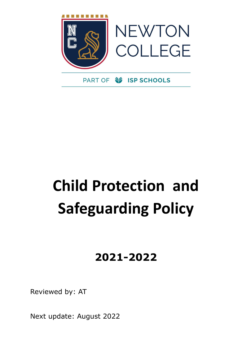

# **Child Protection and Safeguarding Policy**

## **2021-2022**

Reviewed by: AT

Next update: August 2022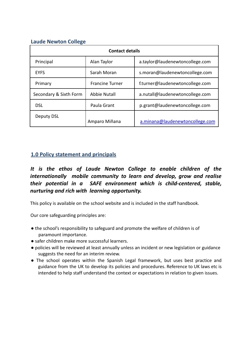## **Laude Newton College**

| <b>Contact details</b> |                        |                                 |
|------------------------|------------------------|---------------------------------|
| Principal              | Alan Taylor            | a.taylor@laudenewtoncollege.com |
| <b>FYFS</b>            | Sarah Moran            | s.moran@laudenewtoncollege.com  |
| Primary                | <b>Francine Turner</b> | f.turner@laudenewtoncollege.com |
| Secondary & Sixth Form | <b>Abbie Nutall</b>    | a.nutall@laudenewtoncollege.com |
| <b>DSL</b>             | Paula Grant            | p.grant@laudenewtoncollege.com  |
| Deputy DSL             | Amparo Miñana          | a.minana@laudenewtoncollege.com |

## **1.0 Policy statement and principals**

## *It is the ethos of Laude Newton College to enable children of the internationally mobile community to learn and develop, grow and realise their potential in a SAFE environment which is child-centered, stable, nurturing and rich with learning opportunity.*

This policy is available on the school website and is included in the staff handbook.

Our core safeguarding principles are:

- the school's responsibility to safeguard and promote the welfare of children is of paramount importance.
- safer children make more successful learners.
- policies will be reviewed at least annually unless an incident or new legislation or guidance suggests the need for an interim review.
- The school operates within the Spanish Legal framework, but uses best practice and guidance from the UK to develop its policies and procedures. Reference to UK laws etc is intended to help staff understand the context or expectations in relation to given issues.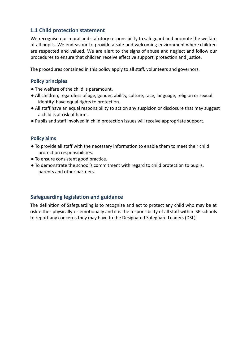## **1.1 Child protection statement**

We recognise our moral and statutory responsibility to safeguard and promote the welfare of all pupils. We endeavour to provide a safe and welcoming environment where children are respected and valued. We are alert to the signs of abuse and neglect and follow our procedures to ensure that children receive effective support, protection and justice.

The procedures contained in this policy apply to all staff, volunteers and governors.

## **Policy principles**

- The welfare of the child is paramount.
- All children, regardless of age, gender, ability, culture, race, language, religion or sexual identity, have equal rights to protection.
- All staff have an equal responsibility to act on any suspicion or disclosure that may suggest a child is at risk of harm.
- Pupils and staff involved in child protection issues will receive appropriate support.

## **Policy aims**

- To provide all staff with the necessary information to enable them to meet their child protection responsibilities.
- To ensure consistent good practice.
- To demonstrate the school's commitment with regard to child protection to pupils, parents and other partners.

## **Safeguarding legislation and guidance**

The definition of Safeguarding is to recognise and act to protect any child who may be at risk either physically or emotionally and it is the responsibility of all staff within ISP schools to report any concerns they may have to the Designated Safeguard Leaders (DSL).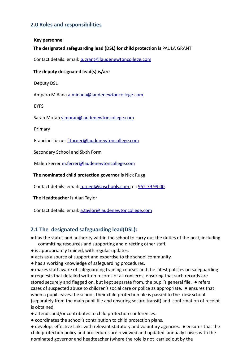## **2.0 Roles and responsibilities**

#### **Key personnel**

#### **The designated safeguarding lead (DSL) for child protection is** PAULA GRANT

Contact details: email: p.grant@laudenewtoncollege.com

#### **The deputy designated lead(s) is/are**

Deputy DSL

Amparo Miñana a.minana@laudenewtoncollege.com

EYFS

Sarah Moran s.moran@laudenewtoncollege.com

Primary

Francine Turner f.turner@laudenewtoncollege.com

Secondary School and Sixth Form

Malen Ferrer m.ferrer@laudenewtoncollege.com

#### **The nominated child protection governor is** Nick Rugg

Contact details: email: n.rugg@ispschools.com tel: 952 79 99 00.

**The Headteacher is** Alan Taylor

Contact details: email: a.taylor@laudenewtoncollege.com

## **2.1 The designated safeguarding lead(DSL):**

- has the status and authority within the school to carry out the duties of the post, including committing resources and supporting and directing other staff.
- is appropriately trained, with regular updates.
- acts as a source of support and expertise to the school community.
- has a working knowledge of safeguarding procedures.
- makes staff aware of safeguarding training courses and the latest policies on safeguarding.

● requests that detailed written records of all concerns, ensuring that such records are stored securely and flagged on, but kept separate from, the pupil's general file. ● refers cases of suspected abuse to children's social care or police as appropriate. ● ensures that when a pupil leaves the school, their child protection file is passed to the new school (separately from the main pupil file and ensuring secure transit) and confirmation of receipt is obtained.

- attends and/or contributes to child protection conferences.
- coordinates the school's contribution to child protection plans.

● develops effective links with relevant statutory and voluntary agencies. ● ensures that the child protection policy and procedures are reviewed and updated annually liaises with the nominated governor and headteacher (where the role is not carried out by the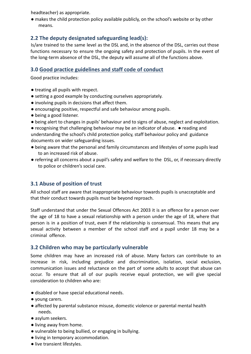headteacher) as appropriate.

● makes the child protection policy available publicly, on the school's website or by other means.

## **2.2 The deputy designated safeguarding lead(s):**

Is/are trained to the same level as the DSL and, in the absence of the DSL, carries out those functions necessary to ensure the ongoing safety and protection of pupils. In the event of the long-term absence of the DSL, the deputy will assume all of the functions above.

## **3.0 Good practice guidelines and staff code of conduct**

Good practice includes:

- treating all pupils with respect.
- setting a good example by conducting ourselves appropriately.
- involving pupils in decisions that affect them.
- encouraging positive, respectful and safe behaviour among pupils.
- being a good listener.
- being alert to changes in pupils' behaviour and to signs of abuse, neglect and exploitation.

● recognising that challenging behaviour may be an indicator of abuse. ● reading and understanding the school's child protection policy, staff behaviour policy and guidance documents on wider safeguarding issues.

- being aware that the personal and family circumstances and lifestyles of some pupils lead to an increased risk of abuse.
- referring all concerns about a pupil's safety and welfare to the DSL, or, if necessary directly to police or children's social care.

## **3.1 Abuse of position of trust**

All school staff are aware that inappropriate behaviour towards pupils is unacceptable and that their conduct towards pupils must be beyond reproach.

Staff understand that under the Sexual Offences Act 2003 it is an offence for a person over the age of 18 to have a sexual relationship with a person under the age of 18, where that person is in a position of trust, even if the relationship is consensual. This means that any sexual activity between a member of the school staff and a pupil under 18 may be a criminal offence.

## **3.2 Children who may be particularly vulnerable**

Some children may have an increased risk of abuse. Many factors can contribute to an increase in risk, including prejudice and discrimination, isolation, social exclusion, communication issues and reluctance on the part of some adults to accept that abuse can occur. To ensure that all of our pupils receive equal protection, we will give special consideration to children who are:

- disabled or have special educational needs.
- young carers.
- affected by parental substance misuse, domestic violence or parental mental health needs.
- asylum seekers.
- living away from home.
- vulnerable to being bullied, or engaging in bullying.
- living in temporary accommodation.
- live transient lifestyles.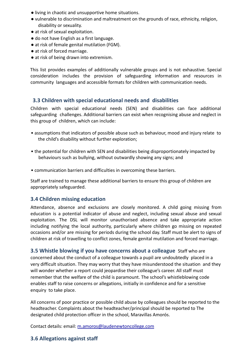- living in chaotic and unsupportive home situations.
- vulnerable to discrimination and maltreatment on the grounds of race, ethnicity, religion, disability or sexuality.
- at risk of sexual exploitation.
- do not have English as a first language.
- at risk of female genital mutilation (FGM).
- at risk of forced marriage.
- at risk of being drawn into extremism.

This list provides examples of additionally vulnerable groups and is not exhaustive. Special consideration includes the provision of safeguarding information and resources in community languages and accessible formats for children with communication needs.

## **3.3 Children with special educational needs and disabilities**

Children with special educational needs (SEN) and disabilities can face additional safeguarding challenges. Additional barriers can exist when recognising abuse and neglect in this group of children, which can include:

- assumptions that indicators of possible abuse such as behaviour, mood and injury relate to the child's disability without further exploration;
- the potential for children with SEN and disabilities being disproportionately impacted by behaviours such as bullying, without outwardly showing any signs; and
- communication barriers and difficulties in overcoming these barriers.

Staff are trained to manage these additional barriers to ensure this group of children are appropriately safeguarded.

## **3.4 Children missing education**

Attendance, absence and exclusions are closely monitored. A child going missing from education is a potential indicator of abuse and neglect, including sexual abuse and sexual exploitation. The DSL will monitor unauthorised absence and take appropriate action including notifying the local authority, particularly where children go missing on repeated occasions and/or are missing for periods during the school day. Staff must be alert to signs of children at risk of travelling to conflict zones, female genital mutilation and forced marriage.

**3.5 Whistle blowing if you have concerns about a colleague** Staff who are concerned about the conduct of a colleague towards a pupil are undoubtedly placed in a very difficult situation. They may worry that they have misunderstood the situation and they will wonder whether a report could jeopardise their colleague's career. All staff must remember that the welfare of the child is paramount. The school's whistleblowing code enables staff to raise concerns or allegations, initially in confidence and for a sensitive enquiry to take place.

All concerns of poor practice or possible child abuse by colleagues should be reported to the headteacher. Complaints about the headteacher/principal should be reported to The designated child protection officer in the school, Maravillas Amorós.

Contact details: email: m.amoros@laudenewtoncollege.com

## **3.6 Allegations against staff**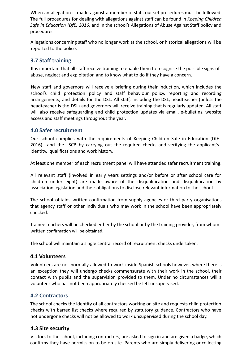When an allegation is made against a member of staff, our set procedures must be followed. The full procedures for dealing with allegations against staff can be found in *Keeping Children Safe in Education (DfE, 2016)* and in the school's Allegations of Abuse Against Staff policy and procedures.

Allegations concerning staff who no longer work at the school, or historical allegations will be reported to the police.

## **3.7 Staff training**

It is important that all staff receive training to enable them to recognise the possible signs of abuse, neglect and exploitation and to know what to do if they have a concern.

New staff and governors will receive a briefing during their induction, which includes the school's child protection policy and staff behaviour policy, reporting and recording arrangements, and details for the DSL. All staff, including the DSL, headteacher (unless the headteacher is the DSL) and governors will receive training that is regularly updated. All staff will also receive safeguarding and child protection updates via email, e-bulletins, website access and staff meetings throughout the year.

## **4.0 Safer recruitment**

Our school complies with the requirements of Keeping Children Safe in Education (DfE 2016) and the LSCB by carrying out the required checks and verifying the applicant's identity, qualifications and work history.

At least one member of each recruitment panel will have attended safer recruitment training.

All relevant staff (involved in early years settings and/or before or after school care for children under eight) are made aware of the disqualification and disqualification by association legislation and their obligations to disclose relevant information to the school

The school obtains written confirmation from supply agencies or third party organisations that agency staff or other individuals who may work in the school have been appropriately checked.

Trainee teachers will be checked either by the school or by the training provider, from whom written confirmation will be obtained.

The school will maintain a single central record of recruitment checks undertaken.

## **4.1 Volunteers**

Volunteers are not normally allowed to work inside Spanish schools however, where there is an exception they will undergo checks commensurate with their work in the school, their contact with pupils and the supervision provided to them. Under no circumstances will a volunteer who has not been appropriately checked be left unsupervised.

## **4.2 Contractors**

The school checks the identity of all contractors working on site and requests child protection checks with barred list checks where required by statutory guidance. Contractors who have not undergone checks will not be allowed to work unsupervised during the school day.

## **4.3 Site security**

Visitors to the school, including contractors, are asked to sign in and are given a badge, which confirms they have permission to be on site. Parents who are simply delivering or collecting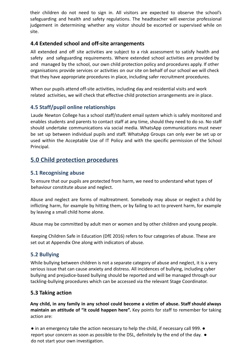their children do not need to sign in. All visitors are expected to observe the school's safeguarding and health and safety regulations. The headteacher will exercise professional judgement in determining whether any visitor should be escorted or supervised while on site.

## **4.4 Extended school and off-site arrangements**

All extended and off site activities are subject to a risk assessment to satisfy health and safety and safeguarding requirements. Where extended school activities are provided by and managed by the school, our own child protection policy and procedures apply. If other organisations provide services or activities on our site on behalf of our school we will check that they have appropriate procedures in place, including safer recruitment procedures.

When our pupils attend off-site activities, including day and residential visits and work related activities, we will check that effective child protection arrangements are in place.

## **4.5 Staff/pupil online relationships**

Laude Newton College has a school staff/student email system which is safely monitored and enables students and parents to contact staff at any time, should they need to do so. No staff should undertake communications via social media. WhatsApp communications must never be set up between individual pupils and staff. WhatsApp Groups can only ever be set up or used within the Acceptable Use of IT Policy and with the specific permission of the School Principal.

## **5.0 Child protection procedures**

## **5.1 Recognising abuse**

To ensure that our pupils are protected from harm, we need to understand what types of behaviour constitute abuse and neglect.

Abuse and neglect are forms of maltreatment. Somebody may abuse or neglect a child by inflicting harm, for example by hitting them, or by failing to act to prevent harm, for example by leaving a small child home alone.

Abuse may be committed by adult men or women and by other children and young people.

Keeping Children Safe in Education (DfE 2016) refers to four categories of abuse. These are set out at Appendix One along with indicators of abuse.

## **5.2 Bullying**

While bullying between children is not a separate category of abuse and neglect, it is a very serious issue that can cause anxiety and distress. All incidences of bullying, including cyber bullying and prejudice-based bullying should be reported and will be managed through our tackling-bullying procedures which can be accessed via the relevant Stage Coordinator.

## **5.3 Taking action**

**Any child, in any family in any school could become a victim of abuse. Staff should always maintain an attitude of "it could happen here".** Key points for staff to remember for taking action are:

 $\bullet$  in an emergency take the action necessary to help the child, if necessary call 999.  $\bullet$ report your concern as soon as possible to the DSL, definitely by the end of the day. ● do not start your own investigation.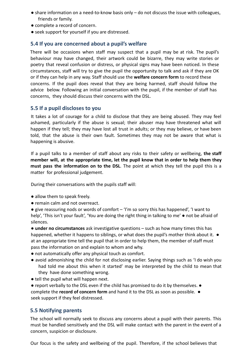- share information on a need-to-know basis only do not discuss the issue with colleagues, friends or family.
- complete a record of concern.
- seek support for yourself if you are distressed.

## **5.4 If you are concerned about a pupil's welfare**

There will be occasions when staff may suspect that a pupil may be at risk. The pupil's behaviour may have changed, their artwork could be bizarre, they may write stories or poetry that reveal confusion or distress, or physical signs may have been noticed. In these circumstances, staff will try to give the pupil the opportunity to talk and ask if they are OK or if they can help in any way. Staff should use the **welfare concern form** to record these concerns. If the pupil does reveal that they are being harmed, staff should follow the advice below. Following an initial conversation with the pupil, if the member of staff has concerns, they should discuss their concerns with the DSL.

## **5.5 If a pupil discloses to you**

It takes a lot of courage for a child to disclose that they are being abused. They may feel ashamed, particularly if the abuse is sexual; their abuser may have threatened what will happen if they tell; they may have lost all trust in adults; or they may believe, or have been told, that the abuse is their own fault. Sometimes they may not be aware that what is happening is abusive.

If a pupil talks to a member of staff about any risks to their safety or wellbeing, **the staff member will, at the appropriate time, let the pupil know that in order to help them they must pass the information on to the DSL**. The point at which they tell the pupil this is a matter for professional judgement.

During their conversations with the pupils staff will:

- allow them to speak freely.
- remain calm and not overreact.

● give reassuring nods or words of comfort – 'I'm so sorry this has happened', 'I want to help', 'This isn't your fault', 'You are doing the right thing in talking to me'  $\bullet$  not be afraid of silences.

● **under no circumstances** ask investigative questions – such as how many times this has happened, whether it happens to siblings, or what does the pupil's mother think about it. ● at an appropriate time tell the pupil that in order to help them, the member of staff must pass the information on and explain to whom and why.

- not automatically offer any physical touch as comfort.
- avoid admonishing the child for not disclosing earlier. Saying things such as 'I do wish you had told me about this when it started' may be interpreted by the child to mean that they have done something wrong.
- tell the pupil what will happen next.
- report verbally to the DSL even if the child has promised to do it by themselves. complete the **record of concern form** and hand it to the DSL as soon as possible. ● seek support if they feel distressed.

## **5.5 Notifying parents**

The school will normally seek to discuss any concerns about a pupil with their parents. This must be handled sensitively and the DSL will make contact with the parent in the event of a concern, suspicion or disclosure.

Our focus is the safety and wellbeing of the pupil. Therefore, if the school believes that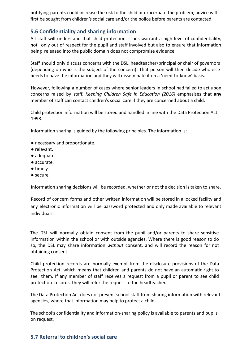notifying parents could increase the risk to the child or exacerbate the problem, advice will first be sought from children's social care and/or the police before parents are contacted.

## **5.6 Confidentiality and sharing information**

All staff will understand that child protection issues warrant a high level of confidentiality, not only out of respect for the pupil and staff involved but also to ensure that information being released into the public domain does not compromise evidence.

Staff should only discuss concerns with the DSL, headteacher/principal or chair of governors (depending on who is the subject of the concern). That person will then decide who else needs to have the information and they will disseminate it on a 'need-to-know' basis.

However, following a number of cases where senior leaders in school had failed to act upon concerns raised by staff, *Keeping Children Safe in Education (2016)* emphasises that **any** member of staff can contact children's social care if they are concerned about a child.

Child protection information will be stored and handled in line with the Data Protection Act 1998.

Information sharing is guided by the following principles. The information is:

- necessary and proportionate.
- relevant.
- adequate.
- accurate.
- timely.
- secure.

Information sharing decisions will be recorded, whether or not the decision is taken to share.

Record of concern forms and other written information will be stored in a locked facility and any electronic information will be password protected and only made available to relevant individuals.

The DSL will normally obtain consent from the pupil and/or parents to share sensitive information within the school or with outside agencies. Where there is good reason to do so, the DSL may share information *without* consent, and will record the reason for not obtaining consent.

Child protection records are normally exempt from the disclosure provisions of the Data Protection Act, which means that children and parents do not have an automatic right to see them. If any member of staff receives a request from a pupil or parent to see child protection records, they will refer the request to the headteacher.

The Data Protection Act does not prevent school staff from sharing information with relevant agencies, where that information may help to protect a child.

The school's confidentiality and information-sharing policy is available to parents and pupils on request.

## **5.7 Referral to children's social care**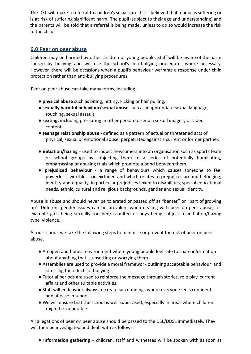The DSL will make a referral to children's social care if it is believed that a pupil is suffering or is at risk of suffering significant harm. The pupil (subject to their age and understanding) and the parents will be told that a referral is being made, unless to do so would increase the risk to the child.

## **6.0 Peer on peer abuse**

Children may be harmed by other children or young people. Staff will be aware of the harm caused by bullying and will use the school's anti-bullying procedures where necessary. However, there will be occasions when a pupil's behaviour warrants a response under child protection rather than anti-bullying procedures.

Peer on peer abuse can take many forms, including:

- **physical abuse** such as biting, hitting, kicking or hair pulling.
- **sexually harmful behaviour/sexual abuse** such as inappropriate sexual language, touching, sexual assault.
- **sexting,** including pressuring another person to send a sexual imagery or video content.
- **teenage relationship abuse** defined as a pattern of actual or threatened acts of physical, sexual or emotional abuse, perpetrated against a current or former partner.
- **initiation/hazing** used to induct newcomers into an organisation such as sports team or school groups by subjecting them to a series of potentially humiliating, embarrassing or abusing trials which promote a bond between them.
- **prejudiced behaviour** a range of behaviours which causes someone to feel powerless, worthless or excluded and which relates to prejudices around belonging, identity and equality, in particular prejudices linked to disabilities, special educational needs, ethnic, cultural and religious backgrounds, gender and sexual identity.

Abuse is abuse and should never be tolerated or passed off as "banter" or "part of growing up". Different gender issues can be prevalent when dealing with peer on peer abuse, for example girls being sexually touched/assaulted or boys being subject to initiation/hazing type violence.

At our school, we take the following steps to minimise or prevent the risk of peer on peer abuse.

- An open and honest environment where young people feel safe to share information about anything that is upsetting or worrying them.
- Assemblies are used to provide a moral framework outlining acceptable behaviour and stressing the effects of bullying.
- Tutorial periods are used to reinforce the message through stories, role play, current affairs and other suitable activities.
- Staff will endeavour always to create surroundings where everyone feels confident and at ease in school.
- We will ensure that the school is well supervised, especially in areas where children might be vulnerable.

All allegations of peer on peer abuse should be passed to the DSL/DDSL immediately. They will then be investigated and dealt with as follows:

● **Information gathering** – children, staff and witnesses will be spoken with as soon as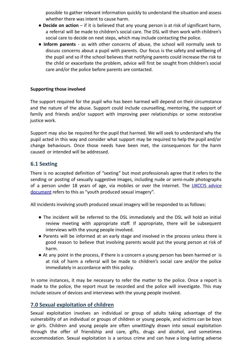possible to gather relevant information quickly to understand the situation and assess whether there was intent to cause harm.

- **Decide on action** if it is believed that any young person is at risk of significant harm, a referral will be made to children's social care. The DSL will then work with children's social care to decide on next steps, which may include contacting the police.
- **Inform parents** as with other concerns of abuse, the school will normally seek to discuss concerns about a pupil with parents. Our focus is the safety and wellbeing of the pupil and so if the school believes that notifying parents could increase the risk to the child or exacerbate the problem, advice will first be sought from children's social care and/or the police before parents are contacted.

#### **Supporting those involved**

The support required for the pupil who has been harmed will depend on their circumstance and the nature of the abuse. Support could include counselling, mentoring, the support of family and friends and/or support with improving peer relationships or some restorative justice work.

Support may also be required for the pupil that harmed. We will seek to understand why the pupil acted in this way and consider what support may be required to help the pupil and/or change behaviours. Once those needs have been met, the consequences for the harm caused or intended will be addressed.

## **6.1 Sexting**

There is no accepted definition of "sexting" but most professionals agree that it refers to the sending or posting of sexually suggestive images, including nude or semi-nude photographs of a person under 18 years of age, via mobiles or over the internet. The UKCCIS advice document refers to this as "youth produced sexual imagery".

All incidents involving youth produced sexual imagery will be responded to as follows:

- The incident will be referred to the DSL immediately and the DSL will hold an initial review meeting with appropriate staff. If appropriate, there will be subsequent interviews with the young people involved.
- Parents will be informed at an early stage and involved in the process unless there is good reason to believe that involving parents would put the young person at risk of harm.
- At any point in the process, if there is a concern a young person has been harmed or is at risk of harm a referral will be made to children's social care and/or the police immediately in accordance with this policy.

In some instances, it may be necessary to refer the matter to the police. Once a report is made to the police, the report must be recorded and the police will investigate. This may include seizure of devices and interviews with the young people involved.

## **7.0 Sexual exploitation of children**

Sexual exploitation involves an individual or group of adults taking advantage of the vulnerability of an individual or groups of children or young people, and victims can be boys or girls. Children and young people are often unwittingly drawn into sexual exploitation through the offer of friendship and care, gifts, drugs and alcohol, and sometimes accommodation. Sexual exploitation is a serious crime and can have a long-lasting adverse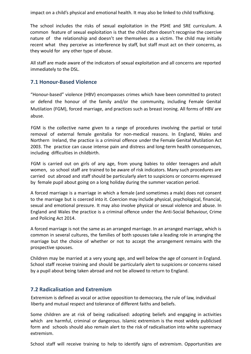impact on a child's physical and emotional health. It may also be linked to child trafficking.

The school includes the risks of sexual exploitation in the PSHE and SRE curriculum. A common feature of sexual exploitation is that the child often doesn't recognise the coercive nature of the relationship and doesn't see themselves as a victim. The child may initially recent what they perceive as interference by staff, but staff must act on their concerns, as they would for any other type of abuse.

All staff are made aware of the indicators of sexual exploitation and all concerns are reported immediately to the DSL.

## **7.1 Honour-Based Violence**

"Honour-based" violence (HBV) encompasses crimes which have been committed to protect or defend the honour of the family and/or the community, including Female Genital Mutilation (FGM), forced marriage, and practices such as breast ironing. All forms of HBV are abuse.

FGM is the collective name given to a range of procedures involving the partial or total removal of external female genitalia for non-medical reasons. In England, Wales and Northern Ireland, the practice is a criminal offence under the Female Genital Mutilation Act 2003. The practice can cause intense pain and distress and long-term health consequences, including difficulties in childbirth.

FGM is carried out on girls of any age, from young babies to older teenagers and adult women, so school staff are trained to be aware of risk indicators. Many such procedures are carried out abroad and staff should be particularly alert to suspicions or concerns expressed by female pupil about going on a long holiday during the summer vacation period.

A forced marriage is a marriage in which a female (and sometimes a male) does not consent to the marriage but is coerced into it. Coercion may include physical, psychological, financial, sexual and emotional pressure. It may also involve physical or sexual violence and abuse. In England and Wales the practice is a criminal offence under the Anti-Social Behaviour, Crime and Policing Act 2014.

A forced marriage is not the same as an arranged marriage. In an arranged marriage, which is common in several cultures, the families of both spouses take a leading role in arranging the marriage but the choice of whether or not to accept the arrangement remains with the prospective spouses.

Children may be married at a very young age, and well below the age of consent in England. School staff receive training and should be particularly alert to suspicions or concerns raised by a pupil about being taken abroad and not be allowed to return to England.

## **7.2 Radicalisation and Extremism**

Extremism is defined as vocal or active opposition to democracy, the rule of law, individual liberty and mutual respect and tolerance of different faiths and beliefs.

Some children are at risk of being radicalised: adopting beliefs and engaging in activities which are harmful, criminal or dangerous. Islamic extremism is the most widely publicised form and schools should also remain alert to the risk of radicalisation into white supremacy extremism.

School staff will receive training to help to identify signs of extremism. Opportunities are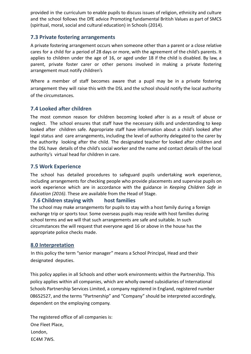provided in the curriculum to enable pupils to discuss issues of religion, ethnicity and culture and the school follows the DfE advice Promoting fundamental British Values as part of SMCS (spiritual, moral, social and cultural education) in Schools (2014).

## **7.3 Private fostering arrangements**

A private fostering arrangement occurs when someone other than a parent or a close relative cares for a child for a period of 28 days or more, with the agreement of the child's parents. It applies to children under the age of 16, or aged under 18 if the child is disabled. By law, a parent, private foster carer or other persons involved in making a private fostering arrangement must notify children's

Where a member of staff becomes aware that a pupil may be in a private fostering arrangement they will raise this with the DSL and the school should notify the local authority of the circumstances.

## **7.4 Looked after children**

The most common reason for children becoming looked after is as a result of abuse or neglect. The school ensures that staff have the necessary skills and understanding to keep looked after children safe. Appropriate staff have information about a child's looked after legal status and care arrangements, including the level of authority delegated to the carer by the authority looking after the child. The designated teacher for looked after children and the DSL have details of the child's social worker and the name and contact details of the local authority's virtual head for children in care.

#### **7.5 Work Experience**

The school has detailed procedures to safeguard pupils undertaking work experience, including arrangements for checking people who provide placements and supervise pupils on work experience which are in accordance with the guidance in *Keeping Children Safe in Education (2016)*. These are available from the Head of Stage.

## **7.6 Children staying with host families**

The school may make arrangements for pupils to stay with a host family during a foreign exchange trip or sports tour. Some overseas pupils may reside with host families during school terms and we will that such arrangements are safe and suitable. In such circumstances the will request that everyone aged 16 or above in the house has the appropriate police checks made.

#### **8.0 Interpretation**

In this policy the term "senior manager" means a School Principal, Head and their designated deputies.

This policy applies in all Schools and other work environments within the Partnership. This policy applies within all companies, which are wholly owned subsidiaries of International Schools Partnership Services Limited, a company registered in England, registered number 08652527, and the terms "Partnership" and "Company" should be interpreted accordingly, dependent on the employing company.

The registered office of all companies is: One Fleet Place, London, EC4M 7WS.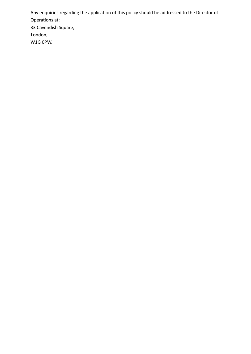Any enquiries regarding the application of this policy should be addressed to the Director of Operations at: 33 Cavendish Square, London, W1G 0PW.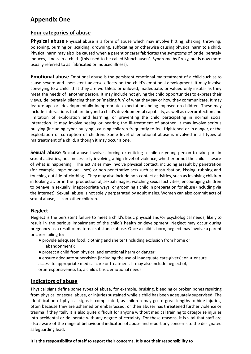## **Appendix One**

## **Four categories of abuse**

**Physical abuse** Physical abuse is a form of abuse which may involve hitting, shaking, throwing, poisoning, burning or scalding, drowning, suffocating or otherwise causing physical harm to a child. Physical harm may also be caused when a parent or carer fabricates the symptoms of, or deliberately induces, illness in a child (this used to be called Munchausen's Syndrome by Proxy, but is now more usually referred to as fabricated or induced illness).

**Emotional abuse** Emotional abuse is the persistent emotional maltreatment of a child such as to cause severe and persistent adverse effects on the child's emotional development. It may involve conveying to a child that they are worthless or unloved, inadequate, or valued only insofar as they meet the needs of another person. It may include not giving the child opportunities to express their views, deliberately silencing them or 'making fun' of what they say or how they communicate. It may feature age or developmentally inappropriate expectations being imposed on children. These may include interactions that are beyond a child's developmental capability, as well as overprotection and limitation of exploration and learning, or preventing the child participating in normal social interaction. It may involve seeing or hearing the ill-treatment of another. It may involve serious bullying (including cyber bullying), causing children frequently to feel frightened or in danger, or the exploitation or corruption of children. Some level of emotional abuse is involved in all types of maltreatment of a child, although it may occur alone.

**Sexual abuse** Sexual abuse involves forcing or enticing a child or young person to take part in sexual activities, not necessarily involving a high level of violence, whether or not the child is aware of what is happening. The activities may involve physical contact, including assault by penetration (for example, rape or oral sex) or non-penetrative acts such as masturbation, kissing, rubbing and touching outside of clothing. They may also include non-contact activities, such as involving children in looking at, or in the production of, sexual images, watching sexual activities, encouraging children to behave in sexually inappropriate ways, or grooming a child in preparation for abuse (including via the internet). Sexual abuse is not solely perpetrated by adult males. Women can also commit acts of sexual abuse, as can other children.

#### **Neglect**

Neglect is the persistent failure to meet a child's basic physical and/or psychological needs, likely to result in the serious impairment of the child's health or development. Neglect may occur during pregnancy as a result of maternal substance abuse. Once a child is born, neglect may involve a parent or carer failing to:

- provide adequate food, clothing and shelter (including exclusion from home or abandonment);
- protect a child from physical and emotional harm or danger;

● ensure adequate supervision (including the use of inadequate care-givers); or ● ensure access to appropriate medical care or treatment. It may also include neglect of, orunresponsiveness to, a child's basic emotional needs.

## **Indicators of abuse**

Physical signs define some types of abuse, for example, bruising, bleeding or broken bones resulting from physical or sexual abuse, or injuries sustained while a child has been adequately supervised. The identification of physical signs is complicated, as children may go to great lengths to hide injuries, often because they are ashamed or embarrassed, or their abuser has threatened further violence or trauma if they 'tell'. It is also quite difficult for anyone without medical training to categorise injuries into accidental or deliberate with any degree of certainty. For these reasons, it is vital that staff are also aware of the range of behavioural indicators of abuse and report any concerns to the designated safeguarding lead.